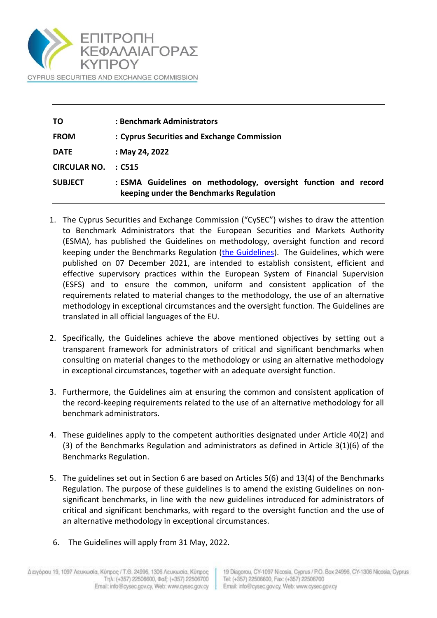

| ΤO                  | : Benchmark Administrators                                                                                 |
|---------------------|------------------------------------------------------------------------------------------------------------|
| <b>FROM</b>         | : Cyprus Securities and Exchange Commission                                                                |
| <b>DATE</b>         | : May 24, 2022                                                                                             |
| <b>CIRCULAR NO.</b> | $\therefore$ C515                                                                                          |
| <b>SUBJECT</b>      | : ESMA Guidelines on methodology, oversight function and record<br>keeping under the Benchmarks Regulation |

- 1. The Cyprus Securities and Exchange Commission ("CySEC") wishes to draw the attention to Benchmark Administrators that the European Securities and Markets Authority (ESMA), has published the Guidelines on methodology, oversight function and record keeping under the Benchmarks Regulation [\(the Guidelines\)](https://www.esma.europa.eu/sites/default/files/library/esma81-393-288_guidelines_on_methodology_oversight_function_and_record_keeping_under_the_benchmarks_regulation.pdf). The Guidelines, which were published on 07 December 2021, are intended to establish consistent, efficient and effective supervisory practices within the European System of Financial Supervision (ESFS) and to ensure the common, uniform and consistent application of the requirements related to material changes to the methodology, the use of an alternative methodology in exceptional circumstances and the oversight function. The Guidelines are translated in all official languages of the EU.
- 2. Specifically, the Guidelines achieve the above mentioned objectives by setting out a transparent framework for administrators of critical and significant benchmarks when consulting on material changes to the methodology or using an alternative methodology in exceptional circumstances, together with an adequate oversight function.
- 3. Furthermore, the Guidelines aim at ensuring the common and consistent application of the record-keeping requirements related to the use of an alternative methodology for all benchmark administrators.
- 4. These guidelines apply to the competent authorities designated under Article 40(2) and (3) of the Benchmarks Regulation and administrators as defined in Article 3(1)(6) of the Benchmarks Regulation.
- 5. The guidelines set out in Section 6 are based on Articles 5(6) and 13(4) of the Benchmarks Regulation. The purpose of these guidelines is to amend the existing Guidelines on nonsignificant benchmarks, in line with the new guidelines introduced for administrators of critical and significant benchmarks, with regard to the oversight function and the use of an alternative methodology in exceptional circumstances.
- 6. The Guidelines will apply from 31 May, 2022.